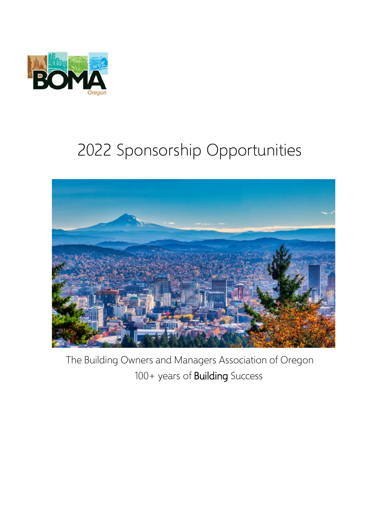

# 2022 Sponsorship Opportunities



The Building Owners and Managers Association of Oregon 100+ years of Building Success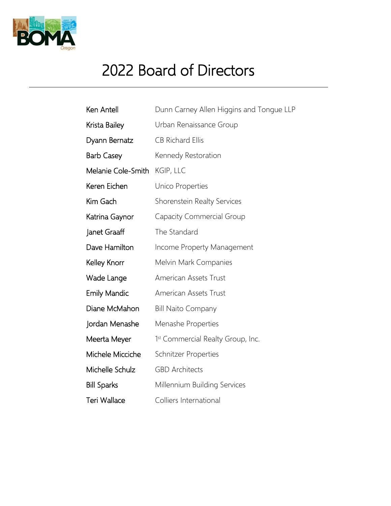

## 2022 Board of Directors

| Ken Antell          | Dunn Carney Allen Higgins and Tongue LLP |
|---------------------|------------------------------------------|
| Krista Bailey       | Urban Renaissance Group                  |
| Dyann Bernatz       | <b>CB Richard Ellis</b>                  |
| <b>Barb Casey</b>   | Kennedy Restoration                      |
| Melanie Cole-Smith  | KGIP, LLC                                |
| Keren Eichen        | Unico Properties                         |
| Kim Gach            | Shorenstein Realty Services              |
| Katrina Gaynor      | Capacity Commercial Group                |
| Janet Graaff        | The Standard                             |
| Dave Hamilton       | Income Property Management               |
| Kelley Knorr        | Melvin Mark Companies                    |
| Wade Lange          | American Assets Trust                    |
| <b>Emily Mandic</b> | American Assets Trust                    |
| Diane McMahon       | <b>Bill Naito Company</b>                |
| Jordan Menashe      | Menashe Properties                       |
| Meerta Meyer        | 1st Commercial Realty Group, Inc.        |
| Michele Micciche    | Schnitzer Properties                     |
| Michelle Schulz     | <b>GBD Architects</b>                    |
| <b>Bill Sparks</b>  | Millennium Building Services             |
| <b>Teri Wallace</b> | Colliers International                   |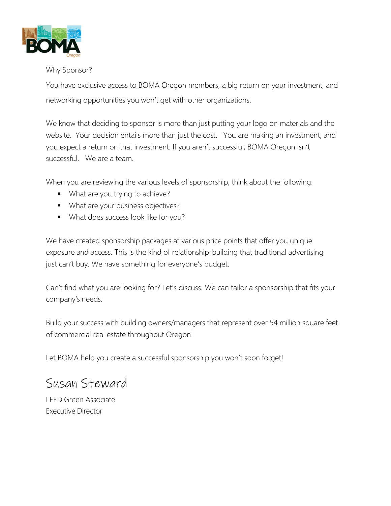

#### Why Sponsor?

You have exclusive access to BOMA Oregon members, a big return on your investment, and networking opportunities you won't get with other organizations.

We know that deciding to sponsor is more than just putting your logo on materials and the website. Your decision entails more than just the cost. You are making an investment, and you expect a return on that investment. If you aren't successful, BOMA Oregon isn't successful. We are a team.

When you are reviewing the various levels of sponsorship, think about the following:

- What are you trying to achieve?
- **What are your business objectives?**
- **What does success look like for you?**

We have created sponsorship packages at various price points that offer you unique exposure and access. This is the kind of relationship-building that traditional advertising just can't buy. We have something for everyone's budget.

Can't find what you are looking for? Let's discuss. We can tailor a sponsorship that fits your company's needs.

Build your success with building owners/managers that represent over 54 million square feet of commercial real estate throughout Oregon!

Let BOMA help you create a successful sponsorship you won't soon forget!

### Susan Steward

LEED Green Associate Executive Director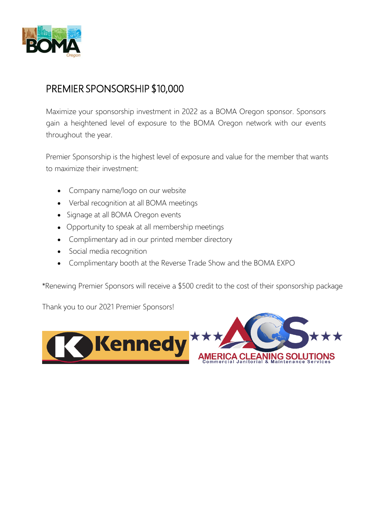

#### PREMIER SPONSORSHIP \$10,000

Maximize your sponsorship investment in 2022 as a BOMA Oregon sponsor. Sponsors gain a heightened level of exposure to the BOMA Oregon network with our events throughout the year.

Premier Sponsorship is the highest level of exposure and value for the member that wants to maximize their investment:

- Company name/logo on our website
- Verbal recognition at all BOMA meetings
- Signage at all BOMA Oregon events
- Opportunity to speak at all membership meetings
- Complimentary ad in our printed member directory
- Social media recognition
- Complimentary booth at the Reverse Trade Show and the BOMA EXPO

\*Renewing Premier Sponsors will receive a \$500 credit to the cost of their sponsorship package

Thank you to our 2021 Premier Sponsors!

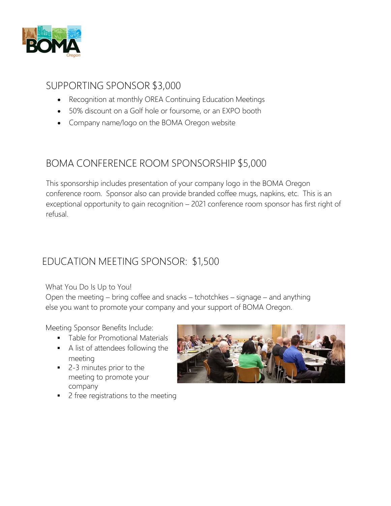

#### SUPPORTING SPONSOR \$3,000

- Recognition at monthly OREA Continuing Education Meetings
- 50% discount on a Golf hole or foursome, or an EXPO booth
- Company name/logo on the BOMA Oregon website

#### BOMA CONFERENCE ROOM SPONSORSHIP \$5,000

This sponsorship includes presentation of your company logo in the BOMA Oregon conference room. Sponsor also can provide branded coffee mugs, napkins, etc. This is an exceptional opportunity to gain recognition – 2021 conference room sponsor has first right of refusal.

#### EDUCATION MEETING SPONSOR: \$1,500

What You Do Is Up to You!

Open the meeting – bring coffee and snacks – tchotchkes – signage – and anything else you want to promote your company and your support of BOMA Oregon.

Meeting Sponsor Benefits Include:

- **Table for Promotional Materials**
- A list of attendees following the meeting
- 2-3 minutes prior to the meeting to promote your company
- 2 free registrations to the meeting